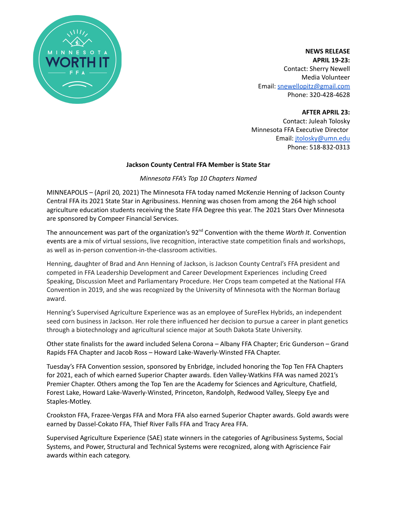

**NEWS RELEASE APRIL 19-23:** Contact: Sherry Newell Media Volunteer Email: [snewellopitz@gmail.com](mailto:snewellopitz@gmail.com) Phone: 320-428-4628

**AFTER APRIL 23:**

Contact: Juleah Tolosky Minnesota FFA Executive Director Email: [jtolosky@umn.edu](mailto:jtolosky@umn.edu) Phone: 518-832-0313

### **Jackson County Central FFA Member is State Star**

### *Minnesota FFA's Top 10 Chapters Named*

MINNEAPOLIS – (April 20*,* 2021) The Minnesota FFA today named McKenzie Henning of Jackson County Central FFA its 2021 State Star in Agribusiness. Henning was chosen from among the 264 high school agriculture education students receiving the State FFA Degree this year. The 2021 Stars Over Minnesota are sponsored by Compeer Financial Services.

The announcement was part of the organization's 92<sup>nd</sup> Convention with the theme *Worth It*. Convention events are a mix of virtual sessions, live recognition, interactive state competition finals and workshops, as well as in-person convention-in-the-classroom activities.

Henning, daughter of Brad and Ann Henning of Jackson, is Jackson County Central's FFA president and competed in FFA Leadership Development and Career Development Experiences including Creed Speaking, Discussion Meet and Parliamentary Procedure. Her Crops team competed at the National FFA Convention in 2019, and she was recognized by the University of Minnesota with the Norman Borlaug award.

Henning's Supervised Agriculture Experience was as an employee of SureFlex Hybrids, an independent seed corn business in Jackson. Her role there influenced her decision to pursue a career in plant genetics through a biotechnology and agricultural science major at South Dakota State University.

Other state finalists for the award included Selena Corona – Albany FFA Chapter; Eric Gunderson – Grand Rapids FFA Chapter and Jacob Ross – Howard Lake-Waverly-Winsted FFA Chapter.

Tuesday's FFA Convention session, sponsored by Enbridge, included honoring the Top Ten FFA Chapters for 2021, each of which earned Superior Chapter awards. Eden Valley-Watkins FFA was named 2021's Premier Chapter. Others among the Top Ten are the Academy for Sciences and Agriculture, Chatfield, Forest Lake, Howard Lake-Waverly-Winsted, Princeton, Randolph, Redwood Valley, Sleepy Eye and Staples-Motley.

Crookston FFA, Frazee-Vergas FFA and Mora FFA also earned Superior Chapter awards. Gold awards were earned by Dassel-Cokato FFA, Thief River Falls FFA and Tracy Area FFA.

Supervised Agriculture Experience (SAE) state winners in the categories of Agribusiness Systems, Social Systems, and Power, Structural and Technical Systems were recognized, along with Agriscience Fair awards within each category.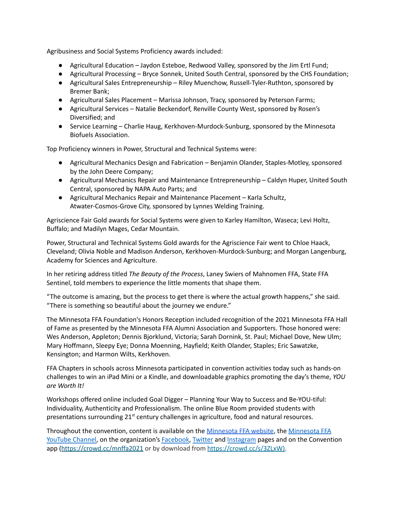Agribusiness and Social Systems Proficiency awards included:

- Agricultural Education Jaydon Esteboe, Redwood Valley, sponsored by the Jim Ertl Fund;
- Agricultural Processing Bryce Sonnek, United South Central, sponsored by the CHS Foundation;
- Agricultural Sales Entrepreneurship Riley Muenchow, Russell-Tyler-Ruthton, sponsored by Bremer Bank;
- Agricultural Sales Placement Marissa Johnson, Tracy, sponsored by Peterson Farms;
- Agricultural Services Natalie Beckendorf, Renville County West, sponsored by Rosen's Diversified; and
- Service Learning Charlie Haug, Kerkhoven-Murdock-Sunburg, sponsored by the Minnesota Biofuels Association.

Top Proficiency winners in Power, Structural and Technical Systems were:

- Agricultural Mechanics Design and Fabrication Benjamin Olander, Staples-Motley, sponsored by the John Deere Company;
- Agricultural Mechanics Repair and Maintenance Entrepreneurship Caldyn Huper, United South Central, sponsored by NAPA Auto Parts; and
- Agricultural Mechanics Repair and Maintenance Placement Karla Schultz, Atwater-Cosmos-Grove City, sponsored by Lynnes Welding Training.

Agriscience Fair Gold awards for Social Systems were given to Karley Hamilton, Waseca; Levi Holtz, Buffalo; and Madilyn Mages, Cedar Mountain.

Power, Structural and Technical Systems Gold awards for the Agriscience Fair went to Chloe Haack, Cleveland; Olivia Noble and Madison Anderson, Kerkhoven-Murdock-Sunburg; and Morgan Langenburg, Academy for Sciences and Agriculture.

In her retiring address titled *The Beauty of the Process*, Laney Swiers of Mahnomen FFA, State FFA Sentinel, told members to experience the little moments that shape them.

"The outcome is amazing, but the process to get there is where the actual growth happens," she said. "There is something so beautiful about the journey we endure."

The Minnesota FFA Foundation's Honors Reception included recognition of the 2021 Minnesota FFA Hall of Fame as presented by the Minnesota FFA Alumni Association and Supporters. Those honored were: Wes Anderson, Appleton; Dennis Bjorklund, Victoria; Sarah Dornink, St. Paul; Michael Dove, New Ulm; Mary Hoffmann, Sleepy Eye; Donna Moenning, Hayfield; Keith Olander, Staples; Eric Sawatzke, Kensington; and Harmon Wilts, Kerkhoven.

FFA Chapters in schools across Minnesota participated in convention activities today such as hands-on challenges to win an iPad Mini or a Kindle, and downloadable graphics promoting the day's theme, *YOU are Worth It!*

Workshops offered online included Goal Digger – Planning Your Way to Success and Be-YOU-tiful: Individuality, Authenticity and Professionalism. The online Blue Room provided students with presentations surrounding 21<sup>st</sup> century challenges in agriculture, food and natural resources.

Throughout the convention, content is available on the [Minnesota](https://www.mnffa.org/) FFA website, the [Minnesota](https://www.youtube.com/user/minnesotaffa) FFA [YouTube](https://www.youtube.com/user/minnesotaffa) Channel, on the organization's [Facebook,](https://www.facebook.com/mnffa) [Twitter](https://twitter.com/MNFFA) and [Instagram](https://www.instagram.com/mnffa/) pages and on the Convention app (https://crowd.cc/mnffa2021 or by download from <https://crowd.cc/s/3ZLxW>).